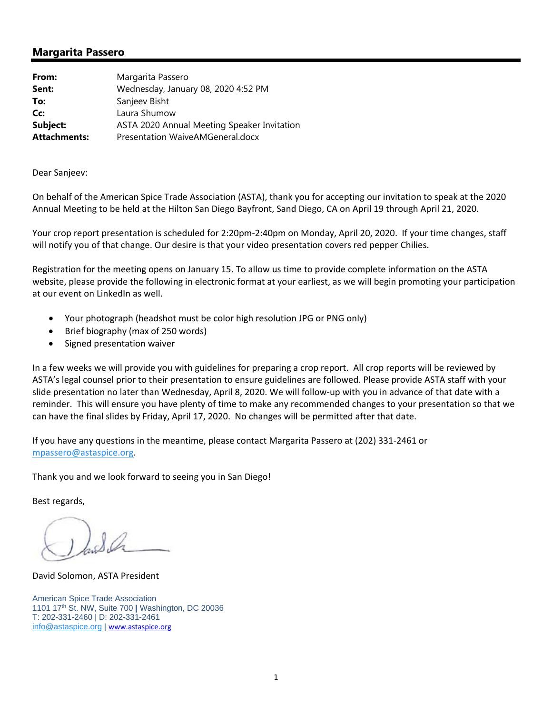## **Margarita Passero**

| From:               | Margarita Passero                           |
|---------------------|---------------------------------------------|
| Sent:               | Wednesday, January 08, 2020 4:52 PM         |
| To:                 | Sanjeev Bisht                               |
| Cc:                 | Laura Shumow                                |
| Subject:            | ASTA 2020 Annual Meeting Speaker Invitation |
| <b>Attachments:</b> | Presentation WaiveAMGeneral.docx            |

Dear Sanjeev:

On behalf of the American Spice Trade Association (ASTA), thank you for accepting our invitation to speak at the 2020 Annual Meeting to be held at the Hilton San Diego Bayfront, Sand Diego, CA on April 19 through April 21, 2020.

Your crop report presentation is scheduled for 2:20pm‐2:40pm on Monday, April 20, 2020. If your time changes, staff will notify you of that change. Our desire is that your video presentation covers red pepper Chilies.

Registration for the meeting opens on January 15. To allow us time to provide complete information on the ASTA website, please provide the following in electronic format at your earliest, as we will begin promoting your participation at our event on LinkedIn as well.

- Your photograph (headshot must be color high resolution JPG or PNG only)
- Brief biography (max of 250 words)
- Signed presentation waiver

In a few weeks we will provide you with guidelines for preparing a crop report. All crop reports will be reviewed by ASTA's legal counsel prior to their presentation to ensure guidelines are followed. Please provide ASTA staff with your slide presentation no later than Wednesday, April 8, 2020. We will follow‐up with you in advance of that date with a reminder. This will ensure you have plenty of time to make any recommended changes to your presentation so that we can have the final slides by Friday, April 17, 2020. No changes will be permitted after that date.

If you have any questions in the meantime, please contact Margarita Passero at (202) 331‐2461 or mpassero@astaspice.org.

Thank you and we look forward to seeing you in San Diego!

Best regards,

David Solomon, ASTA President

American Spice Trade Association 1101 17th St. NW, Suite 700 **|** Washington, DC 20036 T: 202-331-2460 | D: 202-331-2461 info@astaspice.org | www.astaspice.org